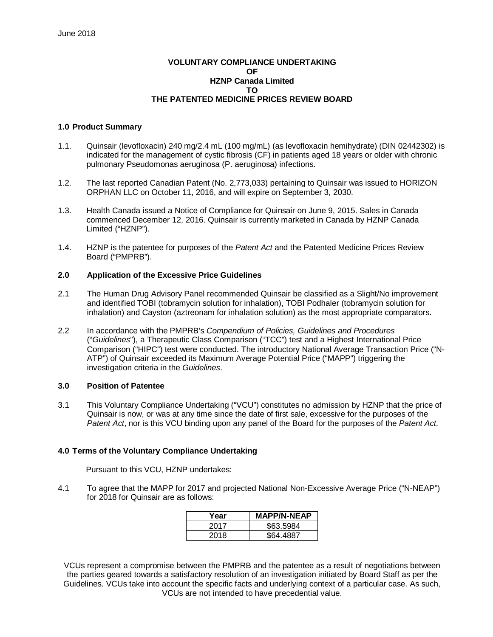## **VOLUNTARY COMPLIANCE UNDERTAKING OF HZNP Canada Limited TO THE PATENTED MEDICINE PRICES REVIEW BOARD**

#### **1.0 Product Summary**

- 1.1. Quinsair (levofloxacin) 240 mg/2.4 mL (100 mg/mL) (as levofloxacin hemihydrate) (DIN 02442302) is indicated for the management of cystic fibrosis (CF) in patients aged 18 years or older with chronic pulmonary Pseudomonas aeruginosa (P. aeruginosa) infections.
- 1.2. The last reported Canadian Patent (No. 2,773,033) pertaining to Quinsair was issued to HORIZON ORPHAN LLC on October 11, 2016, and will expire on September 3, 2030.
- 1.3. Health Canada issued a Notice of Compliance for Quinsair on June 9, 2015. Sales in Canada commenced December 12, 2016. Quinsair is currently marketed in Canada by HZNP Canada Limited ("HZNP").
- 1.4. HZNP is the patentee for purposes of the *Patent Act* and the Patented Medicine Prices Review Board ("PMPRB").

## **2.0 Application of the Excessive Price Guidelines**

- 2.1 The Human Drug Advisory Panel recommended Quinsair be classified as a Slight/No improvement and identified TOBI (tobramycin solution for inhalation), TOBI Podhaler (tobramycin solution for inhalation) and Cayston (aztreonam for inhalation solution) as the most appropriate comparators.
- 2.2 In accordance with the PMPRB's *Compendium of Policies, Guidelines and Procedures* ("*Guidelines*"), a Therapeutic Class Comparison ("TCC") test and a Highest International Price Comparison ("HIPC") test were conducted. The introductory National Average Transaction Price ("N-ATP") of Quinsair exceeded its Maximum Average Potential Price ("MAPP") triggering the investigation criteria in the *Guidelines*.

#### **3.0 Position of Patentee**

3.1 This Voluntary Compliance Undertaking ("VCU") constitutes no admission by HZNP that the price of Quinsair is now, or was at any time since the date of first sale, excessive for the purposes of the *Patent Act*, nor is this VCU binding upon any panel of the Board for the purposes of the *Patent Act*.

# **4.0 Terms of the Voluntary Compliance Undertaking**

Pursuant to this VCU, HZNP undertakes:

4.1 To agree that the MAPP for 2017 and projected National Non-Excessive Average Price ("N-NEAP") for 2018 for Quinsair are as follows:

| Year | <b>MAPP/N-NEAP</b> |
|------|--------------------|
| 2017 | \$63.5984          |
| 2018 | \$64.4887          |

VCUs represent a compromise between the PMPRB and the patentee as a result of negotiations between the parties geared towards a satisfactory resolution of an investigation initiated by Board Staff as per the Guidelines. VCUs take into account the specific facts and underlying context of a particular case. As such, VCUs are not intended to have precedential value.